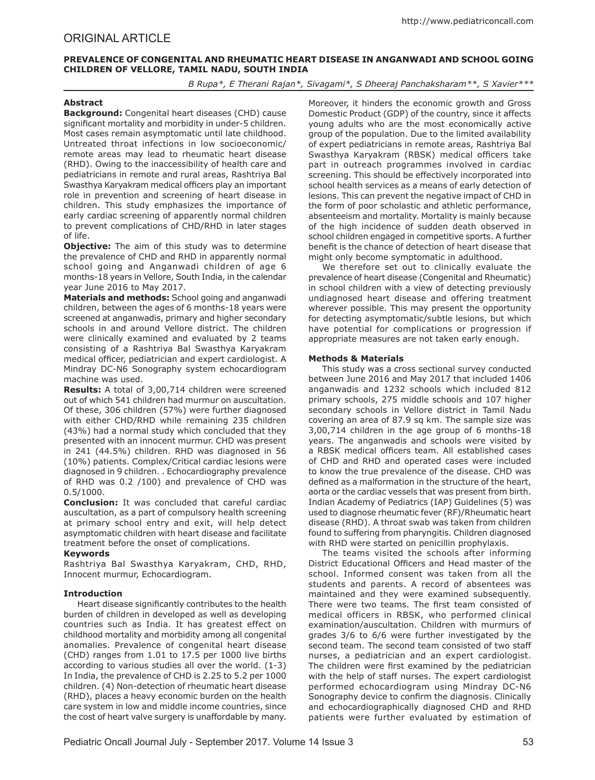# ORIGINAL ARTICLE

# **PREVALENCE OF CONGENITAL AND RHEUMATIC HEART DISEASE IN ANGANWADI AND SCHOOL GOING CHILDREN OF VELLORE, TAMIL NADU, SOUTH INDIA**

*B Rupa\*, E Therani Rajan\*, Sivagami\*, S Dheeraj Panchaksharam\*\*, S Xavier\*\*\**

# **Abstract**

**Background:** Congenital heart diseases (CHD) cause significant mortality and morbidity in under-5 children. Most cases remain asymptomatic until late childhood. Untreated throat infections in low socioeconomic/ remote areas may lead to rheumatic heart disease (RHD). Owing to the inaccessibility of health care and pediatricians in remote and rural areas, Rashtriya Bal Swasthya Karyakram medical officers play an important role in prevention and screening of heart disease in children. This study emphasizes the importance of early cardiac screening of apparently normal children to prevent complications of CHD/RHD in later stages of life.

**Objective:** The aim of this study was to determine the prevalence of CHD and RHD in apparently normal school going and Anganwadi children of age 6 months-18 years in Vellore, South India, in the calendar year June 2016 to May 2017.

**Materials and methods:** School going and anganwadi children, between the ages of 6 months-18 years were screened at anganwadis, primary and higher secondary schools in and around Vellore district. The children were clinically examined and evaluated by 2 teams consisting of a Rashtriya Bal Swasthya Karyakram medical officer, pediatrician and expert cardiologist. A Mindray DC-N6 Sonography system echocardiogram machine was used.

**Results:** A total of 3,00,714 children were screened out of which 541 children had murmur on auscultation. Of these, 306 children (57%) were further diagnosed with either CHD/RHD while remaining 235 children (43%) had a normal study which concluded that they presented with an innocent murmur. CHD was present in 241 (44.5%) children. RHD was diagnosed in 56 (10%) patients. Complex/Critical cardiac lesions were diagnosed in 9 children. . Echocardiography prevalence of RHD was 0.2 /100) and prevalence of CHD was 0.5/1000.

**Conclusion:** It was concluded that careful cardiac auscultation, as a part of compulsory health screening at primary school entry and exit, will help detect asymptomatic children with heart disease and facilitate treatment before the onset of complications.

## **Keywords**

Rashtriya Bal Swasthya Karyakram, CHD, RHD, Innocent murmur, Echocardiogram.

# **Introduction**

Heart disease significantly contributes to the health burden of children in developed as well as developing countries such as India. It has greatest effect on childhood mortality and morbidity among all congenital anomalies. Prevalence of congenital heart disease (CHD) ranges from 1.01 to 17.5 per 1000 live births according to various studies all over the world. (1-3) In India, the prevalence of CHD is 2.25 to 5.2 per 1000 children. (4) Non-detection of rheumatic heart disease (RHD), places a heavy economic burden on the health care system in low and middle income countries, since the cost of heart valve surgery is unaffordable by many. Moreover, it hinders the economic growth and Gross Domestic Product (GDP) of the country, since it affects young adults who are the most economically active group of the population. Due to the limited availability of expert pediatricians in remote areas, Rashtriya Bal Swasthya Karyakram (RBSK) medical officers take part in outreach programmes involved in cardiac screening. This should be effectively incorporated into school health services as a means of early detection of lesions. This can prevent the negative impact of CHD in the form of poor scholastic and athletic performance, absenteeism and mortality. Mortality is mainly because of the high incidence of sudden death observed in school children engaged in competitive sports. A further benefit is the chance of detection of heart disease that might only become symptomatic in adulthood.

We therefore set out to clinically evaluate the prevalence of heart disease (Congenital and Rheumatic) in school children with a view of detecting previously undiagnosed heart disease and offering treatment wherever possible. This may present the opportunity for detecting asymptomatic/subtle lesions, but which have potential for complications or progression if appropriate measures are not taken early enough.

## **Methods & Materials**

This study was a cross sectional survey conducted between June 2016 and May 2017 that included 1406 anganwadis and 1232 schools which included 812 primary schools, 275 middle schools and 107 higher secondary schools in Vellore district in Tamil Nadu covering an area of 87.9 sq km. The sample size was 3,00,714 children in the age group of 6 months-18 years. The anganwadis and schools were visited by a RBSK medical officers team. All established cases of CHD and RHD and operated cases were included to know the true prevalence of the disease. CHD was defined as a malformation in the structure of the heart, aorta or the cardiac vessels that was present from birth. Indian Academy of Pediatrics (IAP) Guidelines (5) was used to diagnose rheumatic fever (RF)/Rheumatic heart disease (RHD). A throat swab was taken from children found to suffering from pharyngitis. Children diagnosed with RHD were started on penicillin prophylaxis.

The teams visited the schools after informing District Educational Officers and Head master of the school. Informed consent was taken from all the students and parents. A record of absentees was maintained and they were examined subsequently. There were two teams. The first team consisted of medical officers in RBSK, who performed clinical examination/auscultation. Children with murmurs of grades 3/6 to 6/6 were further investigated by the second team. The second team consisted of two staff nurses, a pediatrician and an expert cardiologist. The children were first examined by the pediatrician with the help of staff nurses. The expert cardiologist performed echocardiogram using Mindray DC-N6 Sonography device to confirm the diagnosis. Clinically and echocardiographically diagnosed CHD and RHD patients were further evaluated by estimation of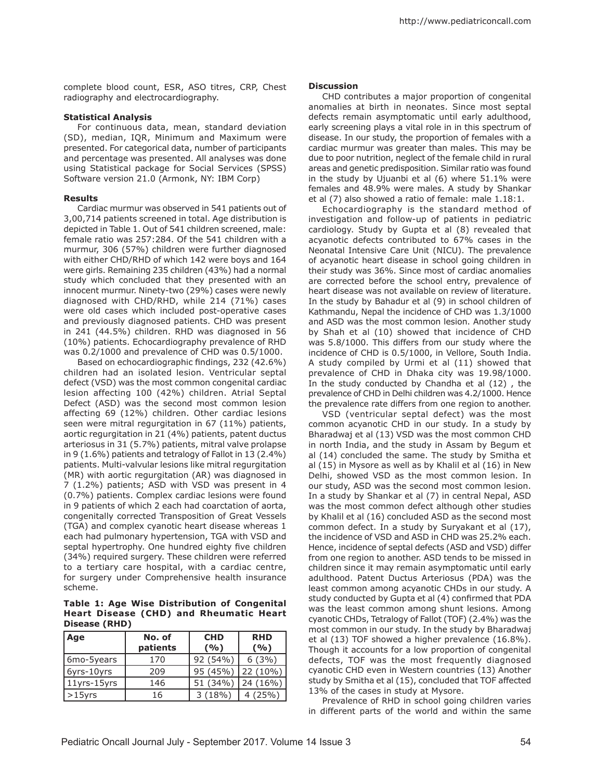complete blood count, ESR, ASO titres, CRP, Chest radiography and electrocardiography.

## **Statistical Analysis**

For continuous data, mean, standard deviation (SD), median, IQR, Minimum and Maximum were presented. For categorical data, number of participants and percentage was presented. All analyses was done using Statistical package for Social Services (SPSS) Software version 21.0 (Armonk, NY: IBM Corp)

## **Results**

Cardiac murmur was observed in 541 patients out of 3,00,714 patients screened in total. Age distribution is depicted in Table 1. Out of 541 children screened, male: female ratio was 257:284. Of the 541 children with a murmur, 306 (57%) children were further diagnosed with either CHD/RHD of which 142 were boys and 164 were girls. Remaining 235 children (43%) had a normal study which concluded that they presented with an innocent murmur. Ninety-two (29%) cases were newly diagnosed with CHD/RHD, while 214 (71%) cases were old cases which included post-operative cases and previously diagnosed patients. CHD was present in 241 (44.5%) children. RHD was diagnosed in 56 (10%) patients. Echocardiography prevalence of RHD was 0.2/1000 and prevalence of CHD was 0.5/1000.

Based on echocardiographic findings, 232 (42.6%) children had an isolated lesion. Ventricular septal defect (VSD) was the most common congenital cardiac lesion affecting 100 (42%) children. Atrial Septal Defect (ASD) was the second most common lesion affecting 69 (12%) children. Other cardiac lesions seen were mitral regurgitation in 67 (11%) patients, aortic regurgitation in 21 (4%) patients, patent ductus arteriosus in 31 (5.7%) patients, mitral valve prolapse in 9 (1.6%) patients and tetralogy of Fallot in 13 (2.4%) patients. Multi-valvular lesions like mitral regurgitation (MR) with aortic regurgitation (AR) was diagnosed in 7 (1.2%) patients; ASD with VSD was present in 4 (0.7%) patients. Complex cardiac lesions were found in 9 patients of which 2 each had coarctation of aorta, congenitally corrected Transposition of Great Vessels (TGA) and complex cyanotic heart disease whereas 1 each had pulmonary hypertension, TGA with VSD and septal hypertrophy. One hundred eighty five children (34%) required surgery. These children were referred to a tertiary care hospital, with a cardiac centre, for surgery under Comprehensive health insurance scheme.

**Table 1: Age Wise Distribution of Congenital Heart Disease (CHD) and Rheumatic Heart Disease (RHD)**

| Age         | No. of<br>patients | <b>CHD</b><br>(9/0) | <b>RHD</b><br>(9/0) |
|-------------|--------------------|---------------------|---------------------|
| 6mo-5years  | 170                | 92 (54%)            | 6(3%)               |
| 6yrs-10yrs  | 209                | 95 (45%)            | 22 (10%)            |
| 11yrs-15yrs | 146                | 51 (34%)            | 24 (16%)            |
| $>15$ yrs   | 16                 | 3(18%)              | 4(25%)              |

#### **Discussion**

CHD contributes a major proportion of congenital anomalies at birth in neonates. Since most septal defects remain asymptomatic until early adulthood, early screening plays a vital role in in this spectrum of disease. In our study, the proportion of females with a cardiac murmur was greater than males. This may be due to poor nutrition, neglect of the female child in rural areas and genetic predisposition. Similar ratio was found in the study by Ujuanbi et al (6) where 51.1% were females and 48.9% were males. A study by Shankar et al (7) also showed a ratio of female: male 1.18:1.

Echocardiography is the standard method of investigation and follow-up of patients in pediatric cardiology. Study by Gupta et al (8) revealed that acyanotic defects contributed to 67% cases in the Neonatal Intensive Care Unit (NICU). The prevalence of acyanotic heart disease in school going children in their study was 36%. Since most of cardiac anomalies are corrected before the school entry, prevalence of heart disease was not available on review of literature. In the study by Bahadur et al (9) in school children of Kathmandu, Nepal the incidence of CHD was 1.3/1000 and ASD was the most common lesion. Another study by Shah et al (10) showed that incidence of CHD was 5.8/1000. This differs from our study where the incidence of CHD is 0.5/1000, in Vellore, South India. A study compiled by Urmi et al (11) showed that prevalence of CHD in Dhaka city was 19.98/1000. In the study conducted by Chandha et al (12) , the prevalence of CHD in Delhi children was 4.2/1000. Hence the prevalence rate differs from one region to another.

VSD (ventricular septal defect) was the most common acyanotic CHD in our study. In a study by Bharadwaj et al (13) VSD was the most common CHD in north India, and the study in Assam by Begum et al (14) concluded the same. The study by Smitha et al (15) in Mysore as well as by Khalil et al (16) in New Delhi, showed VSD as the most common lesion. In our study, ASD was the second most common lesion. In a study by Shankar et al (7) in central Nepal, ASD was the most common defect although other studies by Khalil et al (16) concluded ASD as the second most common defect. In a study by Suryakant et al (17), the incidence of VSD and ASD in CHD was 25.2% each. Hence, incidence of septal defects (ASD and VSD) differ from one region to another. ASD tends to be missed in children since it may remain asymptomatic until early adulthood. Patent Ductus Arteriosus (PDA) was the least common among acyanotic CHDs in our study. A study conducted by Gupta et al (4) confirmed that PDA was the least common among shunt lesions. Among cyanotic CHDs, Tetralogy of Fallot (TOF) (2.4%) was the most common in our study. In the study by Bharadwaj et al (13) TOF showed a higher prevalence (16.8%). Though it accounts for a low proportion of congenital defects, TOF was the most frequently diagnosed cyanotic CHD even in Western countries (13) Another study by Smitha et al (15), concluded that TOF affected 13% of the cases in study at Mysore.

Prevalence of RHD in school going children varies in different parts of the world and within the same